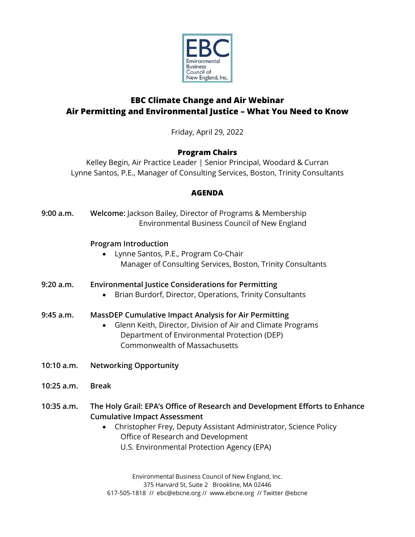

# **EBC Climate Change and Air Webinar Air Permitting and Environmental Justice – What You Need to Know**

Friday, April 29, 2022

## **Program Chairs**

Kelley Begin, Air Practice Leader | Senior Principal, Woodard & Curran Lynne Santos, P.E., Manager of Consulting Services, Boston, Trinity Consultants

## **AGENDA**

**9:00 a.m. Welcome:** Jackson Bailey, Director of Programs & Membership Environmental Business Council of New England

## **Program Introduction**

- Lynne Santos, P.E., Program Co-Chair Manager of Consulting Services, Boston, Trinity Consultants
- **9:20 a.m. Environmental Justice Considerations for Permitting**
	- Brian Burdorf, Director, Operations, Trinity Consultants

### **9:45 a.m. MassDEP Cumulative Impact Analysis for Air Permitting**

- Glenn Keith, Director, Division of Air and Climate Programs Department of Environmental Protection (DEP) Commonwealth of Massachusetts
- **10:10 a.m. Networking Opportunity**
- **10:25 a.m. Break**
- **10:35 a.m. The Holy Grail: EPA's Office of Research and Development Efforts to Enhance Cumulative Impact Assessment**
	- Christopher Frey, Deputy Assistant Administrator, Science Policy Office of Research and Development U.S. Environmental Protection Agency (EPA)

Environmental Business Council of New England, Inc. 375 Harvard St, Suite 2 Brookline, MA 02446 617-505-1818 // ebc@ebcne.org // www.ebcne.org // Twitter @ebcne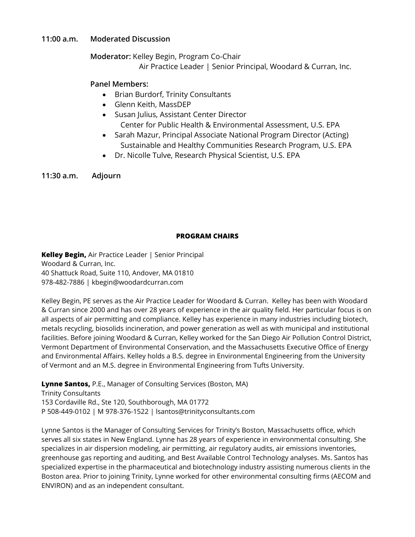#### **11:00 a.m. Moderated Discussion**

**Moderator:** Kelley Begin, Program Co-Chair

Air Practice Leader | Senior Principal, Woodard & Curran, Inc.

### **Panel Members:**

- Brian Burdorf, Trinity Consultants
- Glenn Keith, MassDEP
- Susan Julius, Assistant Center Director Center for Public Health & Environmental Assessment, U.S. EPA
- Sarah Mazur, Principal Associate National Program Director (Acting) Sustainable and Healthy Communities Research Program, U.S. EPA
- Dr. Nicolle Tulve, Research Physical Scientist, U.S. EPA

#### **11:30 a.m. Adjourn**

#### **PROGRAM CHAIRS**

**Kelley Begin,** Air Practice Leader | Senior Principal Woodard & Curran, Inc. 40 Shattuck Road, Suite 110, Andover, MA 01810 978-482-7886 | kbegin@woodardcurran.com

Kelley Begin, PE serves as the Air Practice Leader for Woodard & Curran. Kelley has been with Woodard & Curran since 2000 and has over 28 years of experience in the air quality field. Her particular focus is on all aspects of air permitting and compliance. Kelley has experience in many industries including biotech, metals recycling, biosolids incineration, and power generation as well as with municipal and institutional facilities. Before joining Woodard & Curran, Kelley worked for the San Diego Air Pollution Control District, Vermont Department of Environmental Conservation, and the Massachusetts Executive Office of Energy and Environmental Affairs. Kelley holds a B.S. degree in Environmental Engineering from the University of Vermont and an M.S. degree in Environmental Engineering from Tufts University.

**Lynne Santos,** P.E., Manager of Consulting Services (Boston, MA) Trinity Consultants 153 Cordaville Rd., Ste 120, Southborough, MA 01772 P 508-449-0102 | M 978-376-1522 | lsantos@trinityconsultants.com

Lynne Santos is the Manager of Consulting Services for Trinity's Boston, Massachusetts office, which serves all six states in New England. Lynne has 28 years of experience in environmental consulting. She specializes in air dispersion modeling, air permitting, air regulatory audits, air emissions inventories, greenhouse gas reporting and auditing, and Best Available Control Technology analyses. Ms. Santos has specialized expertise in the pharmaceutical and biotechnology industry assisting numerous clients in the Boston area. Prior to joining Trinity, Lynne worked for other environmental consulting firms (AECOM and ENVIRON) and as an independent consultant.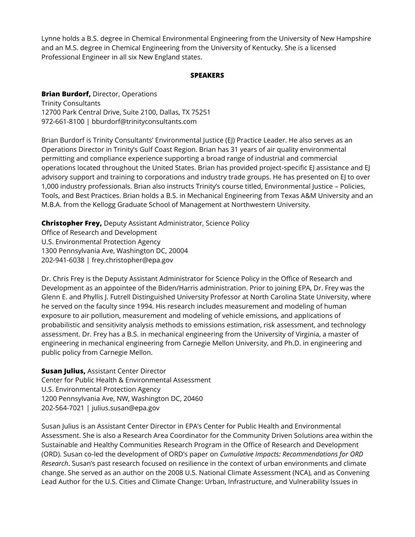Lynne holds a B.S. degree in Chemical Environmental Engineering from the University of New Hampshire and an M.S. degree in Chemical Engineering from the University of Kentucky. She is a licensed Professional Engineer in all six New England states.

#### **SPEAKERS**

#### **Brian Burdorf,** Director, Operations

Trinity Consultants 12700 Park Central Drive, Suite 2100, Dallas, TX 75251 972-661-8100 | bburdorf@trinityconsultants.com

Brian Burdorf is Trinity Consultants' Environmental Justice (EJ) Practice Leader. He also serves as an Operations Director in Trinity's Gulf Coast Region. Brian has 31 years of air quality environmental permitting and compliance experience supporting a broad range of industrial and commercial operations located throughout the United States. Brian has provided project-specific EJ assistance and EJ advisory support and training to corporations and industry trade groups. He has presented on EJ to over 1,000 industry professionals. Brian also instructs Trinity's course titled, Environmental Justice – Policies, Tools, and Best Practices. Brian holds a B.S. in Mechanical Engineering from Texas A&M University and an M.B.A. from the Kellogg Graduate School of Management at Northwestern University.

**Christopher Frey,** Deputy Assistant Administrator, Science Policy

Office of Research and Development U.S. Environmental Protection Agency 1300 Pennsylvania Ave, Washington DC, 20004 202-941-6038 | frey.christopher@epa.gov

Dr. Chris Frey is the Deputy Assistant Administrator for Science Policy in the Office of Research and Development as an appointee of the Biden/Harris administration. Prior to joining EPA, Dr. Frey was the Glenn E. and Phyllis J. Futrell Distinguished University Professor at North Carolina State University, where he served on the faculty since 1994. His research includes measurement and modeling of human exposure to air pollution, measurement and modeling of vehicle emissions, and applications of probabilistic and sensitivity analysis methods to emissions estimation, risk assessment, and technology assessment. Dr. Frey has a B.S. in mechanical engineering from the University of Virginia, a master of engineering in mechanical engineering from Carnegie Mellon University, and Ph.D. in engineering and public policy from Carnegie Mellon.

**Susan Julius,** Assistant Center Director Center for Public Health & Environmental Assessment U.S. Environmental Protection Agency 1200 Pennsylvania Ave, NW, Washington DC, 20460 202-564-7021 | julius.susan@epa.gov

Susan Julius is an Assistant Center Director in EPA's Center for Public Health and Environmental Assessment. She is also a Research Area Coordinator for the Community Driven Solutions area within the Sustainable and Healthy Communities Research Program in the Office of Research and Development (ORD). Susan co-led the development of ORD's paper on *Cumulative Impacts: Recommendations for ORD Research*. Susan's past research focused on resilience in the context of urban environments and climate change. She served as an author on the 2008 U.S. National Climate Assessment (NCA), and as Convening Lead Author for the U.S. Cities and Climate Change: Urban, Infrastructure, and Vulnerability Issues in